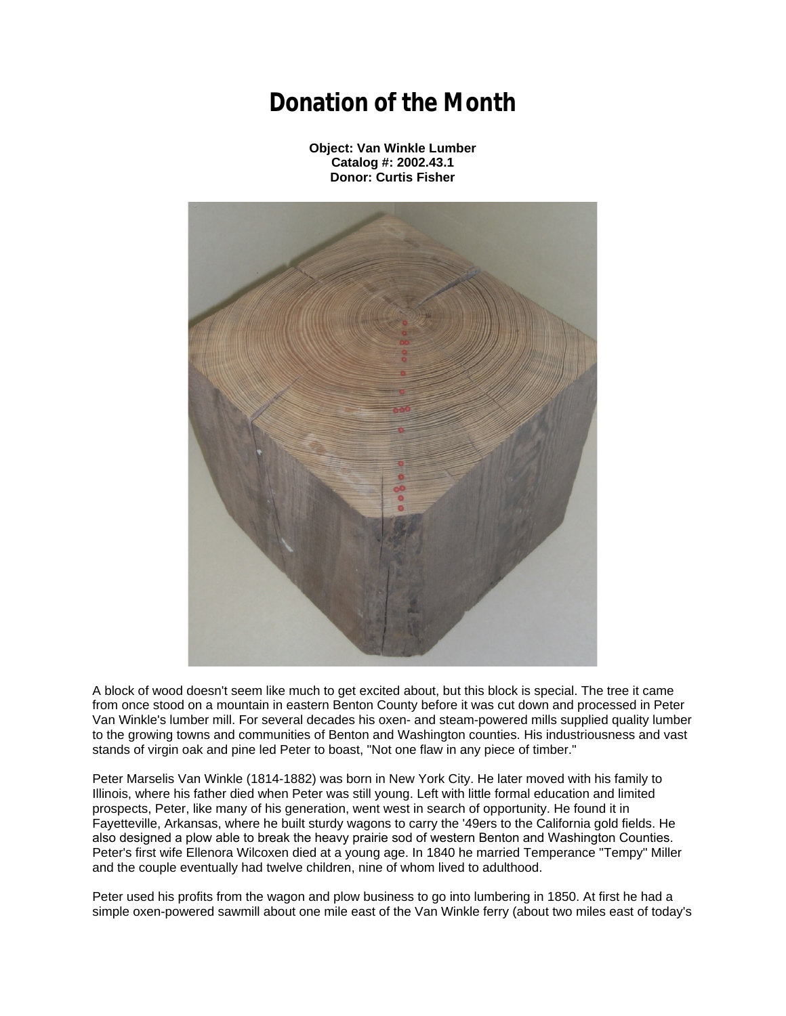## **Donation of the Month**

**Object: Van Winkle Lumber Catalog #: 2002.43.1 Donor: Curtis Fisher**



A block of wood doesn't seem like much to get excited about, but this block is special. The tree it came from once stood on a mountain in eastern Benton County before it was cut down and processed in Peter Van Winkle's lumber mill. For several decades his oxen- and steam-powered mills supplied quality lumber to the growing towns and communities of Benton and Washington counties. His industriousness and vast stands of virgin oak and pine led Peter to boast, "Not one flaw in any piece of timber."

Peter Marselis Van Winkle (1814-1882) was born in New York City. He later moved with his family to Illinois, where his father died when Peter was still young. Left with little formal education and limited prospects, Peter, like many of his generation, went west in search of opportunity. He found it in Fayetteville, Arkansas, where he built sturdy wagons to carry the '49ers to the California gold fields. He also designed a plow able to break the heavy prairie sod of western Benton and Washington Counties. Peter's first wife Ellenora Wilcoxen died at a young age. In 1840 he married Temperance "Tempy" Miller and the couple eventually had twelve children, nine of whom lived to adulthood.

Peter used his profits from the wagon and plow business to go into lumbering in 1850. At first he had a simple oxen-powered sawmill about one mile east of the Van Winkle ferry (about two miles east of today's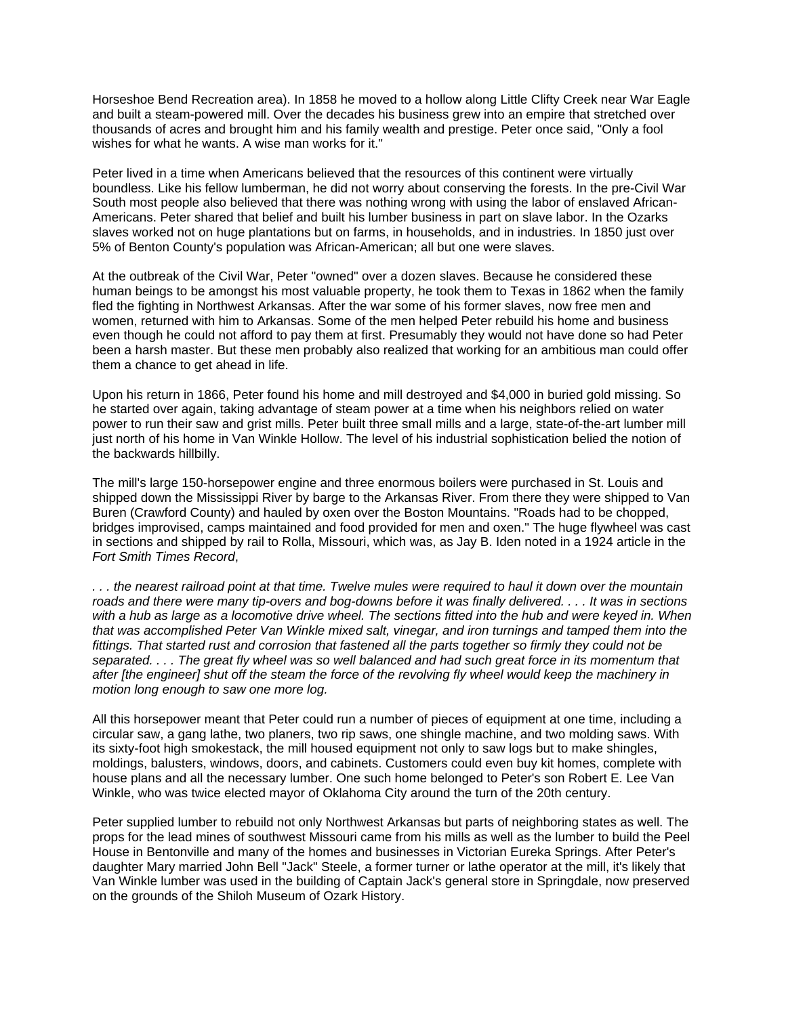Horseshoe Bend Recreation area). In 1858 he moved to a hollow along Little Clifty Creek near War Eagle and built a steam-powered mill. Over the decades his business grew into an empire that stretched over thousands of acres and brought him and his family wealth and prestige. Peter once said, "Only a fool wishes for what he wants. A wise man works for it."

Peter lived in a time when Americans believed that the resources of this continent were virtually boundless. Like his fellow lumberman, he did not worry about conserving the forests. In the pre-Civil War South most people also believed that there was nothing wrong with using the labor of enslaved African-Americans. Peter shared that belief and built his lumber business in part on slave labor. In the Ozarks slaves worked not on huge plantations but on farms, in households, and in industries. In 1850 just over 5% of Benton County's population was African-American; all but one were slaves.

At the outbreak of the Civil War, Peter "owned" over a dozen slaves. Because he considered these human beings to be amongst his most valuable property, he took them to Texas in 1862 when the family fled the fighting in Northwest Arkansas. After the war some of his former slaves, now free men and women, returned with him to Arkansas. Some of the men helped Peter rebuild his home and business even though he could not afford to pay them at first. Presumably they would not have done so had Peter been a harsh master. But these men probably also realized that working for an ambitious man could offer them a chance to get ahead in life.

Upon his return in 1866, Peter found his home and mill destroyed and \$4,000 in buried gold missing. So he started over again, taking advantage of steam power at a time when his neighbors relied on water power to run their saw and grist mills. Peter built three small mills and a large, state-of-the-art lumber mill just north of his home in Van Winkle Hollow. The level of his industrial sophistication belied the notion of the backwards hillbilly.

The mill's large 150-horsepower engine and three enormous boilers were purchased in St. Louis and shipped down the Mississippi River by barge to the Arkansas River. From there they were shipped to Van Buren (Crawford County) and hauled by oxen over the Boston Mountains. "Roads had to be chopped, bridges improvised, camps maintained and food provided for men and oxen." The huge flywheel was cast in sections and shipped by rail to Rolla, Missouri, which was, as Jay B. Iden noted in a 1924 article in the *Fort Smith Times Record*,

*. . . the nearest railroad point at that time. Twelve mules were required to haul it down over the mountain roads and there were many tip-overs and bog-downs before it was finally delivered. . . . It was in sections with a hub as large as a locomotive drive wheel. The sections fitted into the hub and were keyed in. When that was accomplished Peter Van Winkle mixed salt, vinegar, and iron turnings and tamped them into the fittings. That started rust and corrosion that fastened all the parts together so firmly they could not be separated. . . . The great fly wheel was so well balanced and had such great force in its momentum that after [the engineer] shut off the steam the force of the revolving fly wheel would keep the machinery in motion long enough to saw one more log.*

All this horsepower meant that Peter could run a number of pieces of equipment at one time, including a circular saw, a gang lathe, two planers, two rip saws, one shingle machine, and two molding saws. With its sixty-foot high smokestack, the mill housed equipment not only to saw logs but to make shingles, moldings, balusters, windows, doors, and cabinets. Customers could even buy kit homes, complete with house plans and all the necessary lumber. One such home belonged to Peter's son Robert E. Lee Van Winkle, who was twice elected mayor of Oklahoma City around the turn of the 20th century.

Peter supplied lumber to rebuild not only Northwest Arkansas but parts of neighboring states as well. The props for the lead mines of southwest Missouri came from his mills as well as the lumber to build the Peel House in Bentonville and many of the homes and businesses in Victorian Eureka Springs. After Peter's daughter Mary married John Bell "Jack" Steele, a former turner or lathe operator at the mill, it's likely that Van Winkle lumber was used in the building of Captain Jack's general store in Springdale, now preserved on the grounds of the Shiloh Museum of Ozark History.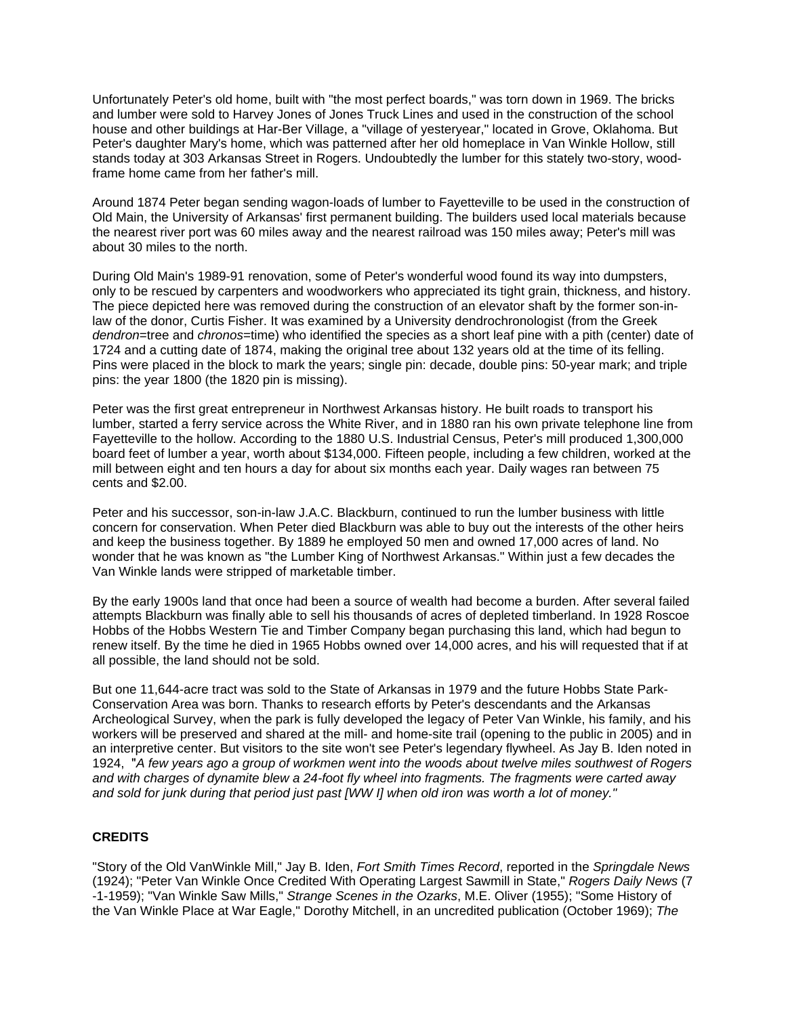Unfortunately Peter's old home, built with "the most perfect boards," was torn down in 1969. The bricks and lumber were sold to Harvey Jones of Jones Truck Lines and used in the construction of the school house and other buildings at Har-Ber Village, a "village of yesteryear," located in Grove, Oklahoma. But Peter's daughter Mary's home, which was patterned after her old homeplace in Van Winkle Hollow, still stands today at 303 Arkansas Street in Rogers. Undoubtedly the lumber for this stately two-story, woodframe home came from her father's mill.

Around 1874 Peter began sending wagon-loads of lumber to Fayetteville to be used in the construction of Old Main, the University of Arkansas' first permanent building. The builders used local materials because the nearest river port was 60 miles away and the nearest railroad was 150 miles away; Peter's mill was about 30 miles to the north.

During Old Main's 1989-91 renovation, some of Peter's wonderful wood found its way into dumpsters, only to be rescued by carpenters and woodworkers who appreciated its tight grain, thickness, and history. The piece depicted here was removed during the construction of an elevator shaft by the former son-inlaw of the donor, Curtis Fisher. It was examined by a University dendrochronologist (from the Greek *dendron*=tree and *chronos*=time) who identified the species as a short leaf pine with a pith (center) date of 1724 and a cutting date of 1874, making the original tree about 132 years old at the time of its felling. Pins were placed in the block to mark the years; single pin: decade, double pins: 50-year mark; and triple pins: the year 1800 (the 1820 pin is missing).

Peter was the first great entrepreneur in Northwest Arkansas history. He built roads to transport his lumber, started a ferry service across the White River, and in 1880 ran his own private telephone line from Fayetteville to the hollow. According to the 1880 U.S. Industrial Census, Peter's mill produced 1,300,000 board feet of lumber a year, worth about \$134,000. Fifteen people, including a few children, worked at the mill between eight and ten hours a day for about six months each year. Daily wages ran between 75 cents and \$2.00.

Peter and his successor, son-in-law J.A.C. Blackburn, continued to run the lumber business with little concern for conservation. When Peter died Blackburn was able to buy out the interests of the other heirs and keep the business together. By 1889 he employed 50 men and owned 17,000 acres of land. No wonder that he was known as "the Lumber King of Northwest Arkansas." Within just a few decades the Van Winkle lands were stripped of marketable timber.

By the early 1900s land that once had been a source of wealth had become a burden. After several failed attempts Blackburn was finally able to sell his thousands of acres of depleted timberland. In 1928 Roscoe Hobbs of the Hobbs Western Tie and Timber Company began purchasing this land, which had begun to renew itself. By the time he died in 1965 Hobbs owned over 14,000 acres, and his will requested that if at all possible, the land should not be sold.

But one 11,644-acre tract was sold to the State of Arkansas in 1979 and the future Hobbs State Park-Conservation Area was born. Thanks to research efforts by Peter's descendants and the Arkansas Archeological Survey, when the park is fully developed the legacy of Peter Van Winkle, his family, and his workers will be preserved and shared at the mill- and home-site trail (opening to the public in 2005) and in an interpretive center. But visitors to the site won't see Peter's legendary flywheel. As Jay B. Iden noted in 1924, "*A few years ago a group of workmen went into the woods about twelve miles southwest of Rogers and with charges of dynamite blew a 24-foot fly wheel into fragments. The fragments were carted away and sold for junk during that period just past [WW I] when old iron was worth a lot of money."*

## **CREDITS**

"Story of the Old VanWinkle Mill," Jay B. Iden, *Fort Smith Times Record*, reported in the *Springdale News* (1924); "Peter Van Winkle Once Credited With Operating Largest Sawmill in State," *Rogers Daily News* (7 -1-1959); "Van Winkle Saw Mills," *Strange Scenes in the Ozarks*, M.E. Oliver (1955); "Some History of the Van Winkle Place at War Eagle," Dorothy Mitchell, in an uncredited publication (October 1969); *The*